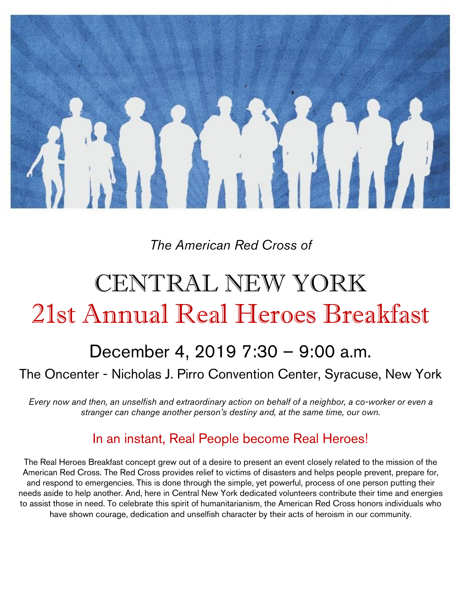

## *The American Red Cross of*

# CENTRAL NEW YORK 21st Annual Real Heroes Breakfast

## December 4, 2019 7:30 – 9:00 a.m.

## The Oncenter - Nicholas J. Pirro Convention Center, Syracuse, New York

*Every now and then, an unselfish and extraordinary action on behalf of a neighbor, a co-worker or even a stranger can change another person's destiny and, at the same time, our own.*

## In an instant, Real People become Real Heroes!

The Real Heroes Breakfast concept grew out of a desire to present an event closely related to the mission of the American Red Cross. The Red Cross provides relief to victims of disasters and helps people prevent, prepare for, and respond to emergencies. This is done through the simple, yet powerful, process of one person putting their needs aside to help another. And, here in Central New York dedicated volunteers contribute their time and energies to assist those in need. To celebrate this spirit of humanitarianism, the American Red Cross honors individuals who have shown courage, dedication and unselfish character by their acts of heroism in our community.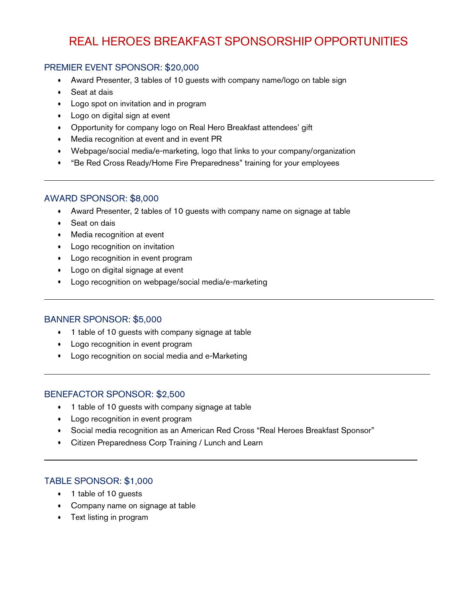## REAL HEROES BREAKFAST SPONSORSHIP OPPORTUNITIES

#### PREMIER EVENT SPONSOR: \$20,000

- Award Presenter, 3 tables of 10 guests with company name/logo on table sign
- Seat at dais
- Logo spot on invitation and in program
- Logo on digital sign at event
- Opportunity for company logo on Real Hero Breakfast attendees' gift
- Media recognition at event and in event PR
- Webpage/social media/e-marketing, logo that links to your company/organization
- "Be Red Cross Ready/Home Fire Preparedness" training for your employees

#### AWARD SPONSOR: \$8,000

- Award Presenter, 2 tables of 10 guests with company name on signage at table
- Seat on dais
- Media recognition at event
- Logo recognition on invitation
- Logo recognition in event program
- Logo on digital signage at event
- Logo recognition on webpage/social media/e-marketing

#### BANNER SPONSOR: \$5,000

- 1 table of 10 guests with company signage at table
- Logo recognition in event program
- Logo recognition on social media and e-Marketing

#### BENEFACTOR SPONSOR: \$2,500

- 1 table of 10 guests with company signage at table
- Logo recognition in event program
- Social media recognition as an American Red Cross "Real Heroes Breakfast Sponsor"
- Citizen Preparedness Corp Training / Lunch and Learn

#### TABLE SPONSOR: \$1,000

- 1 table of 10 guests
- Company name on signage at table
- Text listing in program